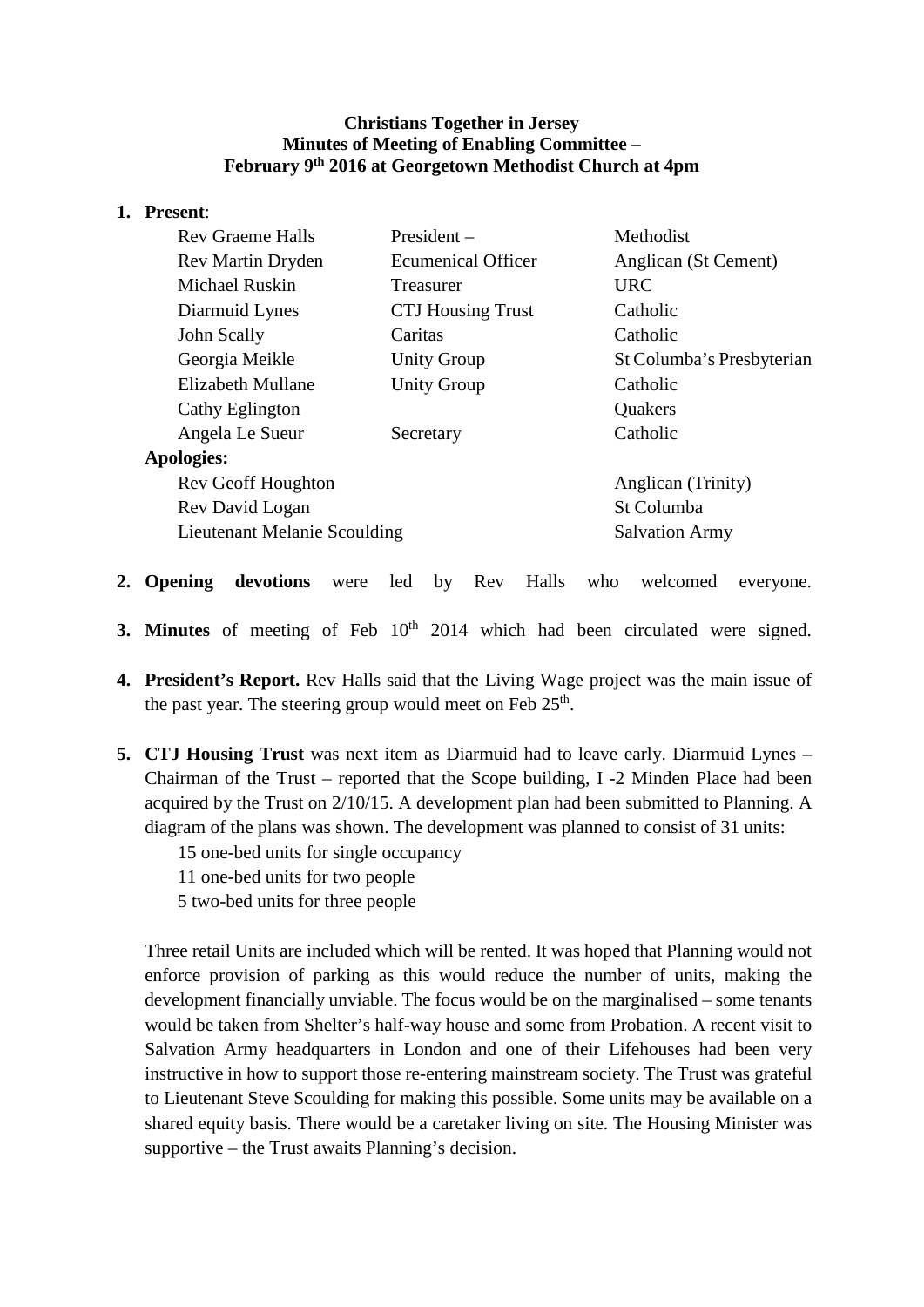### **Christians Together in Jersey Minutes of Meeting of Enabling Committee – February 9th 2016 at Georgetown Methodist Church at 4pm**

#### **1. Present**:

|                   | <b>Rev Graeme Halls</b>      | $President -$             | Methodist                 |  |
|-------------------|------------------------------|---------------------------|---------------------------|--|
|                   | Rev Martin Dryden            | <b>Ecumenical Officer</b> | Anglican (St Cement)      |  |
|                   | Michael Ruskin               | Treasurer                 | <b>URC</b>                |  |
|                   | Diarmuid Lynes               | <b>CTJ</b> Housing Trust  | Catholic                  |  |
|                   | John Scally                  | Caritas                   | Catholic                  |  |
|                   | Georgia Meikle               | <b>Unity Group</b>        | St Columba's Presbyterian |  |
|                   | Elizabeth Mullane            | <b>Unity Group</b>        | Catholic                  |  |
|                   | Cathy Eglington              |                           | Quakers                   |  |
|                   | Angela Le Sueur              | Secretary                 | Catholic                  |  |
| <b>Apologies:</b> |                              |                           |                           |  |
|                   | Rev Geoff Houghton           |                           | Anglican (Trinity)        |  |
|                   | Rev David Logan              |                           | St Columba                |  |
|                   | Lieutenant Melanie Scoulding |                           | <b>Salvation Army</b>     |  |
|                   |                              |                           |                           |  |

- **2. Opening devotions** were led by Rev Halls who welcomed everyone.
- **3. Minutes** of meeting of Feb 10<sup>th</sup> 2014 which had been circulated were signed.
- **4. President's Report.** Rev Halls said that the Living Wage project was the main issue of the past year. The steering group would meet on Feb  $25<sup>th</sup>$ .
- **5. CTJ Housing Trust** was next item as Diarmuid had to leave early. Diarmuid Lynes Chairman of the Trust – reported that the Scope building, I -2 Minden Place had been acquired by the Trust on 2/10/15. A development plan had been submitted to Planning. A diagram of the plans was shown. The development was planned to consist of 31 units:
	- 15 one-bed units for single occupancy
	- 11 one-bed units for two people
	- 5 two-bed units for three people

Three retail Units are included which will be rented. It was hoped that Planning would not enforce provision of parking as this would reduce the number of units, making the development financially unviable. The focus would be on the marginalised – some tenants would be taken from Shelter's half-way house and some from Probation. A recent visit to Salvation Army headquarters in London and one of their Lifehouses had been very instructive in how to support those re-entering mainstream society. The Trust was grateful to Lieutenant Steve Scoulding for making this possible. Some units may be available on a shared equity basis. There would be a caretaker living on site. The Housing Minister was supportive – the Trust awaits Planning's decision.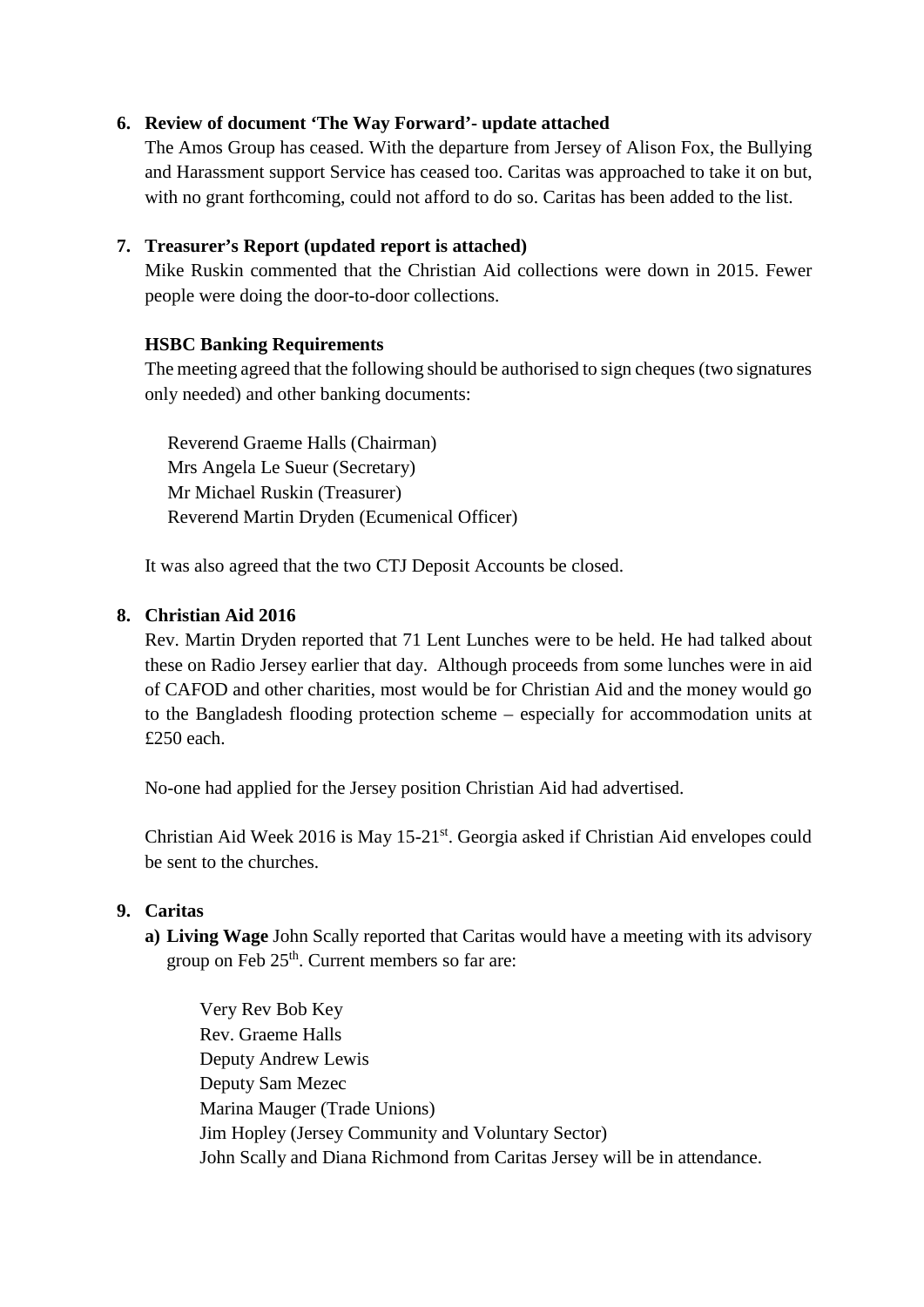# **6. Review of document 'The Way Forward'- update attached**

The Amos Group has ceased. With the departure from Jersey of Alison Fox, the Bullying and Harassment support Service has ceased too. Caritas was approached to take it on but, with no grant forthcoming, could not afford to do so. Caritas has been added to the list.

# **7. Treasurer's Report (updated report is attached)**

Mike Ruskin commented that the Christian Aid collections were down in 2015. Fewer people were doing the door-to-door collections.

## **HSBC Banking Requirements**

The meeting agreed that the following should be authorised to sign cheques (two signatures only needed) and other banking documents:

Reverend Graeme Halls (Chairman) Mrs Angela Le Sueur (Secretary) Mr Michael Ruskin (Treasurer) Reverend Martin Dryden (Ecumenical Officer)

It was also agreed that the two CTJ Deposit Accounts be closed.

### **8. Christian Aid 2016**

Rev. Martin Dryden reported that 71 Lent Lunches were to be held. He had talked about these on Radio Jersey earlier that day. Although proceeds from some lunches were in aid of CAFOD and other charities, most would be for Christian Aid and the money would go to the Bangladesh flooding protection scheme – especially for accommodation units at £250 each.

No-one had applied for the Jersey position Christian Aid had advertised.

Christian Aid Week 2016 is May 15-21st. Georgia asked if Christian Aid envelopes could be sent to the churches.

### **9. Caritas**

**a) Living Wage** John Scally reported that Caritas would have a meeting with its advisory group on Feb  $25<sup>th</sup>$ . Current members so far are:

Very Rev Bob Key Rev. Graeme Halls Deputy Andrew Lewis Deputy Sam Mezec Marina Mauger (Trade Unions) Jim Hopley (Jersey Community and Voluntary Sector) John Scally and Diana Richmond from Caritas Jersey will be in attendance.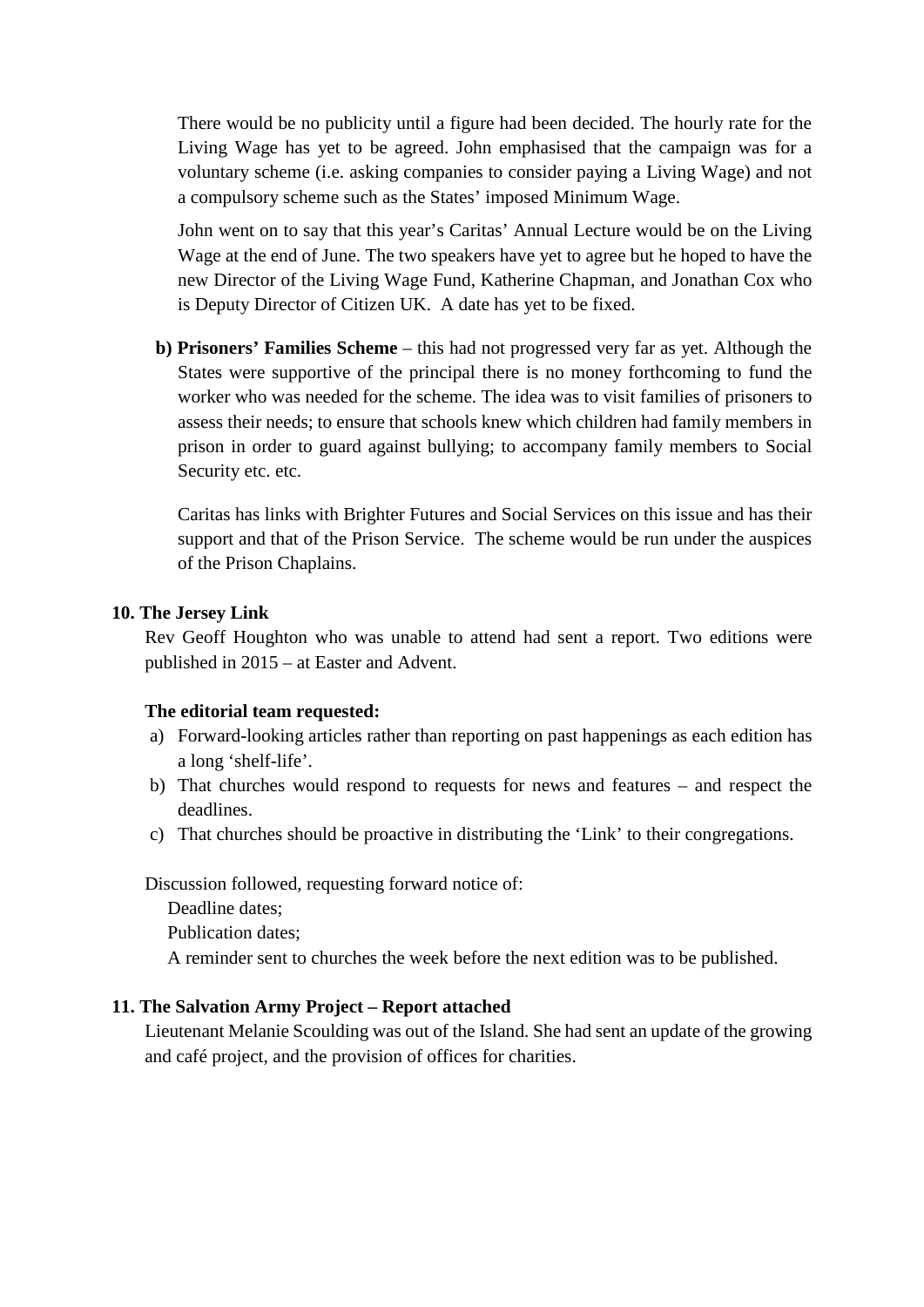There would be no publicity until a figure had been decided. The hourly rate for the Living Wage has yet to be agreed. John emphasised that the campaign was for a voluntary scheme (i.e. asking companies to consider paying a Living Wage) and not a compulsory scheme such as the States' imposed Minimum Wage.

John went on to say that this year's Caritas' Annual Lecture would be on the Living Wage at the end of June. The two speakers have yet to agree but he hoped to have the new Director of the Living Wage Fund, Katherine Chapman, and Jonathan Cox who is Deputy Director of Citizen UK. A date has yet to be fixed.

**b) Prisoners' Families Scheme** – this had not progressed very far as yet. Although the States were supportive of the principal there is no money forthcoming to fund the worker who was needed for the scheme. The idea was to visit families of prisoners to assess their needs; to ensure that schools knew which children had family members in prison in order to guard against bullying; to accompany family members to Social Security etc. etc.

Caritas has links with Brighter Futures and Social Services on this issue and has their support and that of the Prison Service. The scheme would be run under the auspices of the Prison Chaplains.

### **10. The Jersey Link**

Rev Geoff Houghton who was unable to attend had sent a report. Two editions were published in 2015 – at Easter and Advent.

#### **The editorial team requested:**

- a) Forward-looking articles rather than reporting on past happenings as each edition has a long 'shelf-life'.
- b) That churches would respond to requests for news and features and respect the deadlines.
- c) That churches should be proactive in distributing the 'Link' to their congregations.

Discussion followed, requesting forward notice of:

Deadline dates;

Publication dates;

A reminder sent to churches the week before the next edition was to be published.

#### **11. The Salvation Army Project – Report attached**

Lieutenant Melanie Scoulding was out of the Island. She had sent an update of the growing and café project, and the provision of offices for charities.